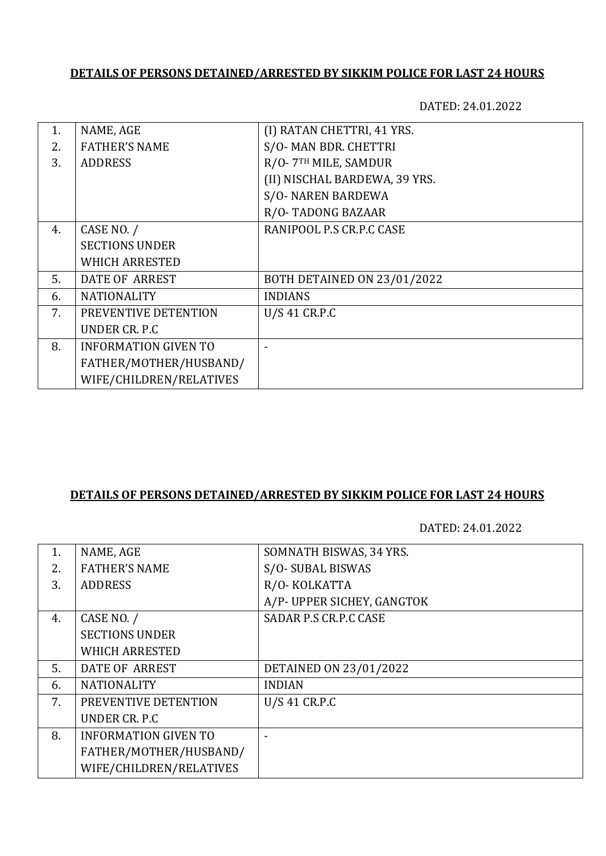# **DETAILS OF PERSONS DETAINED/ARRESTED BY SIKKIM POLICE FOR LAST 24 HOURS**

DATED: 24.01.2022

| 1. | NAME, AGE                   | (I) RATAN CHETTRI, 41 YRS.         |
|----|-----------------------------|------------------------------------|
| 2. | <b>FATHER'S NAME</b>        | S/O-MAN BDR. CHETTRI               |
| 3. | <b>ADDRESS</b>              | R/O-7TH MILE, SAMDUR               |
|    |                             | (II) NISCHAL BARDEWA, 39 YRS.      |
|    |                             | <b>S/O- NAREN BARDEWA</b>          |
|    |                             | R/O-TADONG BAZAAR                  |
| 4. | CASE NO. /                  | RANIPOOL P.S CR.P.C CASE           |
|    | <b>SECTIONS UNDER</b>       |                                    |
|    | <b>WHICH ARRESTED</b>       |                                    |
| 5. | <b>DATE OF ARREST</b>       | <b>BOTH DETAINED ON 23/01/2022</b> |
| 6. | <b>NATIONALITY</b>          | <b>INDIANS</b>                     |
| 7. | PREVENTIVE DETENTION        | <b>U/S 41 CR.P.C</b>               |
|    | UNDER CR. P.C.              |                                    |
| 8. | <b>INFORMATION GIVEN TO</b> |                                    |
|    | FATHER/MOTHER/HUSBAND/      |                                    |
|    | WIFE/CHILDREN/RELATIVES     |                                    |
|    |                             |                                    |

## **DETAILS OF PERSONS DETAINED/ARRESTED BY SIKKIM POLICE FOR LAST 24 HOURS**

DATED: 24.01.2022

| NAME, AGE                   | SOMNATH BISWAS, 34 YRS.    |
|-----------------------------|----------------------------|
| <b>FATHER'S NAME</b>        | S/O-SUBAL BISWAS           |
| <b>ADDRESS</b>              | R/O-KOLKATTA               |
|                             | A/P- UPPER SICHEY, GANGTOK |
| CASE NO. /                  | SADAR P.S CR.P.C CASE      |
| <b>SECTIONS UNDER</b>       |                            |
| <b>WHICH ARRESTED</b>       |                            |
| <b>DATE OF ARREST</b>       | DETAINED ON 23/01/2022     |
| <b>NATIONALITY</b>          | <b>INDIAN</b>              |
| PREVENTIVE DETENTION        | U/S 41 CR.P.C              |
| UNDER CR. P.C.              |                            |
| <b>INFORMATION GIVEN TO</b> |                            |
| FATHER/MOTHER/HUSBAND/      |                            |
| WIFE/CHILDREN/RELATIVES     |                            |
|                             |                            |